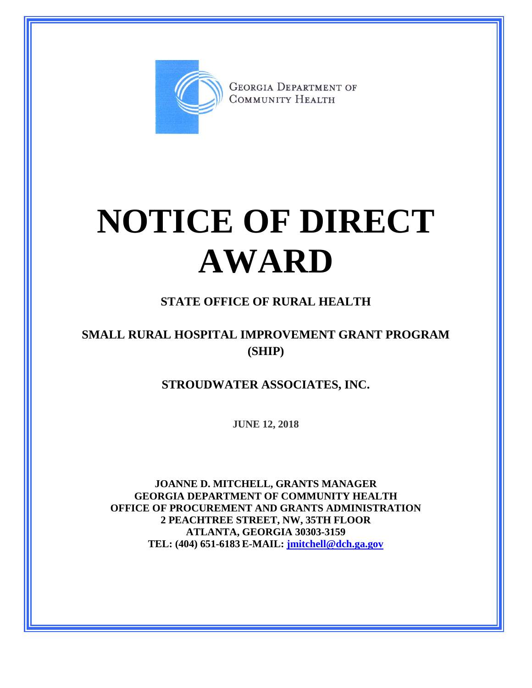

**GEORGIA DEPARTMENT OF** COMMUNITY HEALTH

## **NOTICE OF DIRECT AWARD**

## **STATE OFFICE OF RURAL HEALTH**

## **SMALL RURAL HOSPITAL IMPROVEMENT GRANT PROGRAM (SHIP)**

**STROUDWATER ASSOCIATES, INC.**

**JUNE 12, 2018**

**JOANNE D. MITCHELL, GRANTS MANAGER GEORGIA DEPARTMENT OF COMMUNITY HEALTH OFFICE OF PROCUREMENT AND GRANTS ADMINISTRATION 2 PEACHTREE STREET, NW, 35TH FLOOR ATLANTA, GEORGIA 30303-3159 TEL: (404) 651-6183 E-MAIL: [jmitchell@dch.ga.gov](mailto:awatson@dch.ga.gov)**